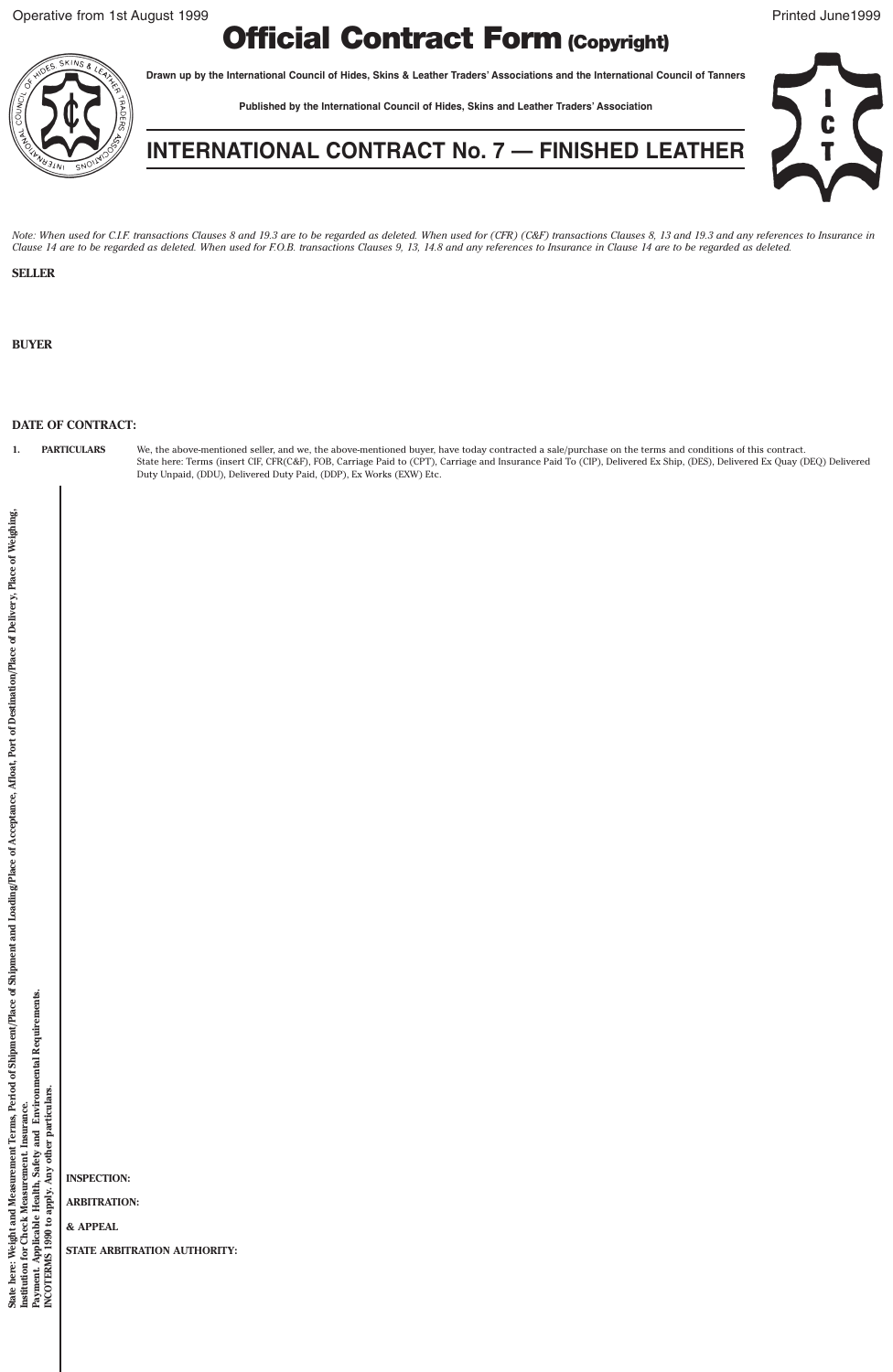## **Official Contract Form (Copyright)**

**Drawn up by the International Council of Hides, Skins & Leather Traders' Associations and the International Council of Tanners**

**Published by the International Council of Hides, Skins and Leather Traders' Association**



**INTERNATIONAL CONTRACT No. 7 — FINISHED LEATHER**

*Note: When used for C.I.F. transactions Clauses 8 and 19.3 are to be regarded as deleted. When used for (CFR) (C&F) transactions Clauses 8, 13 and 19.3 and any references to Insurance in Clause 14 are to be regarded as deleted. When used for F.O.B. transactions Clauses 9, 13, 14.8 and any references to Insurance in Clause 14 are to be regarded as deleted.*

## **SELLER**

**BUYER**

## **DATE OF CONTRACT:**

1. PARTICULARS We, the above-mentioned seller, and we, the above-mentioned buyer, have today contracted a sale/purchase on the terms and conditions of this contract.<br>State here: Terms (insert CIF, CFR(C&F), FOB, Carriage P Duty Unpaid, (DDU), Delivered Duty Paid, (DDP), Ex Works (EXW) Etc.

**INSPECTION:**

**ARBITRATION:**

**& APPEAL**

**STATE ARBITRATION AUTHORITY:**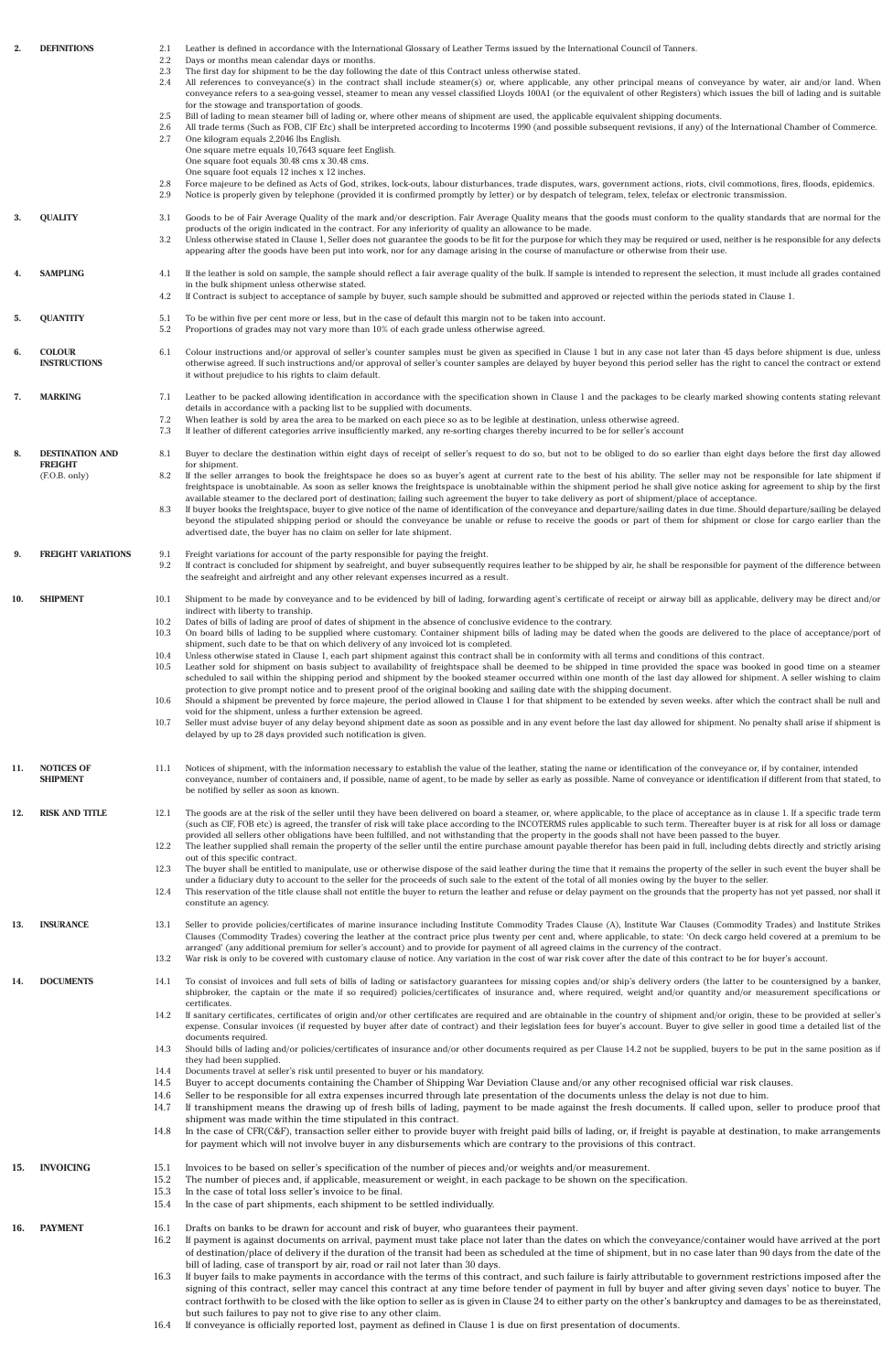| 2.  | <b>DEFINITIONS</b>                   | 2.1<br>$2.2\,$<br>2.3<br>2.4 | Leather is defined in accordance with the International Glossary of Leather Terms issued by the International Council of Tanners.<br>Days or months mean calendar days or months.<br>The first day for shipment to be the day following the date of this Contract unless otherwise stated.<br>All references to conveyance(s) in the contract shall include steamer(s) or, where applicable, any other principal means of conveyance by water, air and/or land. When<br>conveyance refers to a sea-going vessel, steamer to mean any vessel classified Lloyds 100A1 (or the equivalent of other Registers) which issues the bill of lading and is suitable<br>for the stowage and transportation of goods.                                                                                                                                                                                                                                                                         |
|-----|--------------------------------------|------------------------------|------------------------------------------------------------------------------------------------------------------------------------------------------------------------------------------------------------------------------------------------------------------------------------------------------------------------------------------------------------------------------------------------------------------------------------------------------------------------------------------------------------------------------------------------------------------------------------------------------------------------------------------------------------------------------------------------------------------------------------------------------------------------------------------------------------------------------------------------------------------------------------------------------------------------------------------------------------------------------------|
|     |                                      | 2.5<br>2.6<br>2.7            | Bill of lading to mean steamer bill of lading or, where other means of shipment are used, the applicable equivalent shipping documents.<br>All trade terms (Such as FOB, CIF Etc) shall be interpreted according to Incoterms 1990 (and possible subsequent revisions, if any) of the International Chamber of Commerce.<br>One kilogram equals 2,2046 lbs English.<br>One square metre equals 10,7643 square feet English.<br>One square foot equals 30.48 cms x 30.48 cms.<br>One square foot equals 12 inches x 12 inches.                                                                                                                                                                                                                                                                                                                                                                                                                                                      |
|     |                                      | 2.8<br>2.9                   | Force majeure to be defined as Acts of God, strikes, lock-outs, labour disturbances, trade disputes, wars, government actions, riots, civil commotions, fires, floods, epidemics.<br>Notice is properly given by telephone (provided it is confirmed promptly by letter) or by despatch of telegram, telex, telefax or electronic transmission.                                                                                                                                                                                                                                                                                                                                                                                                                                                                                                                                                                                                                                    |
| 3.  | <b>QUALITY</b>                       | 3.1<br>3.2                   | Goods to be of Fair Average Quality of the mark and/or description. Fair Average Quality means that the goods must conform to the quality standards that are normal for the<br>products of the origin indicated in the contract. For any inferiority of quality an allowance to be made.<br>Unless otherwise stated in Clause 1, Seller does not guarantee the goods to be fit for the purpose for which they may be required or used, neither is he responsible for any defects<br>appearing after the goods have been put into work, nor for any damage arising in the course of manufacture or otherwise from their use.                                                                                                                                                                                                                                                                                                                                                        |
| 4.  | <b>SAMPLING</b>                      | 4.1<br>4.2                   | If the leather is sold on sample, the sample should reflect a fair average quality of the bulk. If sample is intended to represent the selection, it must include all grades contained<br>in the bulk shipment unless otherwise stated.<br>If Contract is subject to acceptance of sample by buyer, such sample should be submitted and approved or rejected within the periods stated in Clause 1.                                                                                                                                                                                                                                                                                                                                                                                                                                                                                                                                                                                |
| 5.  | <b>QUANTITY</b>                      | 5.1<br>5.2                   | To be within five per cent more or less, but in the case of default this margin not to be taken into account.<br>Proportions of grades may not vary more than 10% of each grade unless otherwise agreed.                                                                                                                                                                                                                                                                                                                                                                                                                                                                                                                                                                                                                                                                                                                                                                           |
| 6.  | <b>COLOUR</b><br><b>INSTRUCTIONS</b> | 6.1                          | Colour instructions and/or approval of seller's counter samples must be given as specified in Clause 1 but in any case not later than 45 days before shipment is due, unless<br>otherwise agreed. If such instructions and/or approval of seller's counter samples are delayed by buyer beyond this period seller has the right to cancel the contract or extend<br>it without prejudice to his rights to claim default.                                                                                                                                                                                                                                                                                                                                                                                                                                                                                                                                                           |
| 7.  | <b>MARKING</b>                       | 7.1<br>7.2<br>7.3            | Leather to be packed allowing identification in accordance with the specification shown in Clause 1 and the packages to be clearly marked showing contents stating relevant<br>details in accordance with a packing list to be supplied with documents.<br>When leather is sold by area the area to be marked on each piece so as to be legible at destination, unless otherwise agreed.<br>If leather of different categories arrive insufficiently marked, any re-sorting charges thereby incurred to be for seller's account                                                                                                                                                                                                                                                                                                                                                                                                                                                    |
| 8.  | <b>DESTINATION AND</b>               | 8.1                          | Buyer to declare the destination within eight days of receipt of seller's request to do so, but not to be obliged to do so earlier than eight days before the first day allowed                                                                                                                                                                                                                                                                                                                                                                                                                                                                                                                                                                                                                                                                                                                                                                                                    |
|     | <b>FREIGHT</b><br>(F.O.B. only)      | 8.2<br>8.3                   | for shipment.<br>If the seller arranges to book the freightspace he does so as buyer's agent at current rate to the best of his ability. The seller may not be responsible for late shipment if<br>freightspace is unobtainable. As soon as seller knows the freightspace is unobtainable within the shipment period he shall give notice asking for agreement to ship by the first<br>available steamer to the declared port of destination; failing such agreement the buyer to take delivery as port of shipment/place of acceptance.<br>If buyer books the freightspace, buyer to give notice of the name of identification of the conveyance and departure/sailing dates in due time. Should departure/sailing be delayed<br>beyond the stipulated shipping period or should the conveyance be unable or refuse to receive the goods or part of them for shipment or close for cargo earlier than the<br>advertised date, the buyer has no claim on seller for late shipment. |
| 9.  | <b>FREIGHT VARIATIONS</b>            | 9.1<br>9.2                   | Freight variations for account of the party responsible for paying the freight.<br>If contract is concluded for shipment by seafreight, and buyer subsequently requires leather to be shipped by air, he shall be responsible for payment of the difference between<br>the seafreight and airfreight and any other relevant expenses incurred as a result.                                                                                                                                                                                                                                                                                                                                                                                                                                                                                                                                                                                                                         |
| 10. | <b>SHIPMENT</b>                      | 10.1                         | Shipment to be made by conveyance and to be evidenced by bill of lading, forwarding agent's certificate of receipt or airway bill as applicable, delivery may be direct and/or<br>indirect with liberty to tranship.                                                                                                                                                                                                                                                                                                                                                                                                                                                                                                                                                                                                                                                                                                                                                               |
|     |                                      | 10.2<br>10.3                 | Dates of bills of lading are proof of dates of shipment in the absence of conclusive evidence to the contrary.<br>On board bills of lading to be supplied where customary. Container shipment bills of lading may be dated when the goods are delivered to the place of acceptance/port of<br>shipment, such date to be that on which delivery of any invoiced lot is completed.                                                                                                                                                                                                                                                                                                                                                                                                                                                                                                                                                                                                   |
|     |                                      | 10.4<br>10.5                 | Unless otherwise stated in Clause 1, each part shipment against this contract shall be in conformity with all terms and conditions of this contract.<br>Leather sold for shipment on basis subject to availability of freightspace shall be deemed to be shipped in time provided the space was booked in good time on a steamer<br>scheduled to sail within the shipping period and shipment by the booked steamer occurred within one month of the last day allowed for shipment. A seller wishing to claim<br>protection to give prompt notice and to present proof of the original booking and sailing date with the shipping document.                                                                                                                                                                                                                                                                                                                                        |
|     |                                      | 10.6<br>10.7                 | Should a shipment be prevented by force majeure, the period allowed in Clause 1 for that shipment to be extended by seven weeks. after which the contract shall be null and<br>void for the shipment, unless a further extension be agreed.<br>Seller must advise buyer of any delay beyond shipment date as soon as possible and in any event before the last day allowed for shipment. No penalty shall arise if shipment is<br>delayed by up to 28 days provided such notification is given.                                                                                                                                                                                                                                                                                                                                                                                                                                                                                    |
| 11. | <b>NOTICES OF</b><br><b>SHIPMENT</b> | 11.1                         | Notices of shipment, with the information necessary to establish the value of the leather, stating the name or identification of the conveyance or, if by container, intended<br>conveyance, number of containers and, if possible, name of agent, to be made by seller as early as possible. Name of conveyance or identification if different from that stated, to<br>be notified by seller as soon as known.                                                                                                                                                                                                                                                                                                                                                                                                                                                                                                                                                                    |
| 12. | <b>RISK AND TITLE</b>                | 12.1<br>12.2                 | The goods are at the risk of the seller until they have been delivered on board a steamer, or, where applicable, to the place of acceptance as in clause 1. If a specific trade term<br>(such as CIF, FOB etc) is agreed, the transfer of risk will take place according to the INCOTERMS rules applicable to such term. Thereafter buyer is at risk for all loss or damage<br>provided all sellers other obligations have been fulfilled, and not withstanding that the property in the goods shall not have been passed to the buyer.<br>The leather supplied shall remain the property of the seller until the entire purchase amount payable therefor has been paid in full, including debts directly and strictly arising                                                                                                                                                                                                                                                     |
|     |                                      | 12.3<br>12.4                 | out of this specific contract.<br>The buyer shall be entitled to manipulate, use or otherwise dispose of the said leather during the time that it remains the property of the seller in such event the buyer shall be<br>under a fiduciary duty to account to the seller for the proceeds of such sale to the extent of the total of all monies owing by the buyer to the seller.<br>This reservation of the title clause shall not entitle the buyer to return the leather and refuse or delay payment on the grounds that the property has not yet passed, nor shall it                                                                                                                                                                                                                                                                                                                                                                                                          |
| 13. | <b>INSURANCE</b>                     | 13.1                         | constitute an agency.<br>Seller to provide policies/certificates of marine insurance including Institute Commodity Trades Clause (A), Institute War Clauses (Commodity Trades) and Institute Strikes<br>Clauses (Commodity Trades) covering the leather at the contract price plus twenty per cent and, where applicable, to state: 'On deck cargo held covered at a premium to be                                                                                                                                                                                                                                                                                                                                                                                                                                                                                                                                                                                                 |
|     |                                      | 13.2                         | arranged' (any additional premium for seller's account) and to provide for payment of all agreed claims in the currency of the contract.<br>War risk is only to be covered with customary clause of notice. Any variation in the cost of war risk cover after the date of this contract to be for buyer's account.                                                                                                                                                                                                                                                                                                                                                                                                                                                                                                                                                                                                                                                                 |
| 14. | <b>DOCUMENTS</b>                     | 14.1                         | To consist of invoices and full sets of bills of lading or satisfactory guarantees for missing copies and/or ship's delivery orders (the latter to be countersigned by a banker,<br>shipbroker, the captain or the mate if so required) policies/certificates of insurance and, where required, weight and/or quantity and/or measurement specifications or<br>certificates.                                                                                                                                                                                                                                                                                                                                                                                                                                                                                                                                                                                                       |
|     |                                      | 14.2                         | If sanitary certificates, certificates of origin and/or other certificates are required and are obtainable in the country of shipment and/or origin, these to be provided at seller's<br>expense. Consular invoices (if requested by buyer after date of contract) and their legislation fees for buyer's account. Buyer to give seller in good time a detailed list of the<br>documents required.                                                                                                                                                                                                                                                                                                                                                                                                                                                                                                                                                                                 |
|     |                                      | 14.3                         | Should bills of lading and/or policies/certificates of insurance and/or other documents required as per Clause 14.2 not be supplied, buyers to be put in the same position as if<br>they had been supplied.                                                                                                                                                                                                                                                                                                                                                                                                                                                                                                                                                                                                                                                                                                                                                                        |
|     |                                      | 14.4<br>14.5<br>14.6         | Documents travel at seller's risk until presented to buyer or his mandatory.<br>Buyer to accept documents containing the Chamber of Shipping War Deviation Clause and/or any other recognised official war risk clauses.<br>Seller to be responsible for all extra expenses incurred through late presentation of the documents unless the delay is not due to him.                                                                                                                                                                                                                                                                                                                                                                                                                                                                                                                                                                                                                |
|     |                                      | 14.7<br>14.8                 | If transhipment means the drawing up of fresh bills of lading, payment to be made against the fresh documents. If called upon, seller to produce proof that<br>shipment was made within the time stipulated in this contract.<br>In the case of CFR(C&F), transaction seller either to provide buyer with freight paid bills of lading, or, if freight is payable at destination, to make arrangements                                                                                                                                                                                                                                                                                                                                                                                                                                                                                                                                                                             |
| 15. | <b>INVOICING</b>                     | 15.1                         | for payment which will not involve buyer in any disbursements which are contrary to the provisions of this contract.<br>Invoices to be based on seller's specification of the number of pieces and/or weights and/or measurement.                                                                                                                                                                                                                                                                                                                                                                                                                                                                                                                                                                                                                                                                                                                                                  |
|     |                                      | 15.2<br>15.3                 | The number of pieces and, if applicable, measurement or weight, in each package to be shown on the specification.<br>In the case of total loss seller's invoice to be final.                                                                                                                                                                                                                                                                                                                                                                                                                                                                                                                                                                                                                                                                                                                                                                                                       |
|     |                                      | 15.4                         | In the case of part shipments, each shipment to be settled individually.                                                                                                                                                                                                                                                                                                                                                                                                                                                                                                                                                                                                                                                                                                                                                                                                                                                                                                           |
| 16. | <b>PAYMENT</b>                       | 16.1<br>16.2<br>16.3         | Drafts on banks to be drawn for account and risk of buyer, who guarantees their payment.<br>If payment is against documents on arrival, payment must take place not later than the dates on which the conveyance/container would have arrived at the port<br>of destination/place of delivery if the duration of the transit had been as scheduled at the time of shipment, but in no case later than 90 days from the date of the<br>bill of lading, case of transport by air, road or rail not later than 30 days.<br>If buyer fails to make payments in accordance with the terms of this contract, and such failure is fairly attributable to government restrictions imposed after the                                                                                                                                                                                                                                                                                        |
|     |                                      | 16.4                         | signing of this contract, seller may cancel this contract at any time before tender of payment in full by buyer and after giving seven days' notice to buyer. The<br>contract forthwith to be closed with the like option to seller as is given in Clause 24 to either party on the other's bankruptcy and damages to be as thereinstated,<br>but such failures to pay not to give rise to any other claim.<br>If conveyance is officially reported lost, payment as defined in Clause 1 is due on first presentation of documents.                                                                                                                                                                                                                                                                                                                                                                                                                                                |